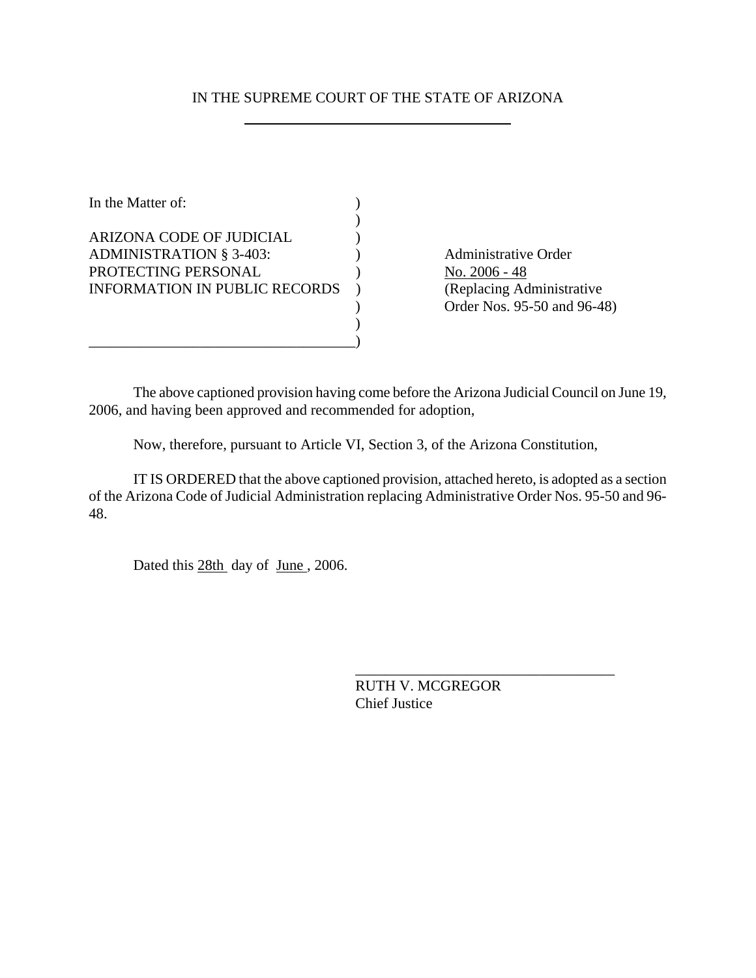## IN THE SUPREME COURT OF THE STATE OF ARIZONA

| In the Matter of:                    |  |
|--------------------------------------|--|
|                                      |  |
| ARIZONA CODE OF JUDICIAL             |  |
| <b>ADMINISTRATION § 3-403:</b>       |  |
| PROTECTING PERSONAL                  |  |
| <b>INFORMATION IN PUBLIC RECORDS</b> |  |
|                                      |  |
|                                      |  |
|                                      |  |

Administrative Order No. 2006 - 48 (Replacing Administrative ) Order Nos. 95-50 and 96-48)

The above captioned provision having come before the Arizona Judicial Council on June 19, 2006, and having been approved and recommended for adoption,

Now, therefore, pursuant to Article VI, Section 3, of the Arizona Constitution,

IT IS ORDERED that the above captioned provision, attached hereto, is adopted as a section of the Arizona Code of Judicial Administration replacing Administrative Order Nos. 95-50 and 96- 48.

Dated this 28th day of June, 2006.

RUTH V. MCGREGOR Chief Justice

\_\_\_\_\_\_\_\_\_\_\_\_\_\_\_\_\_\_\_\_\_\_\_\_\_\_\_\_\_\_\_\_\_\_\_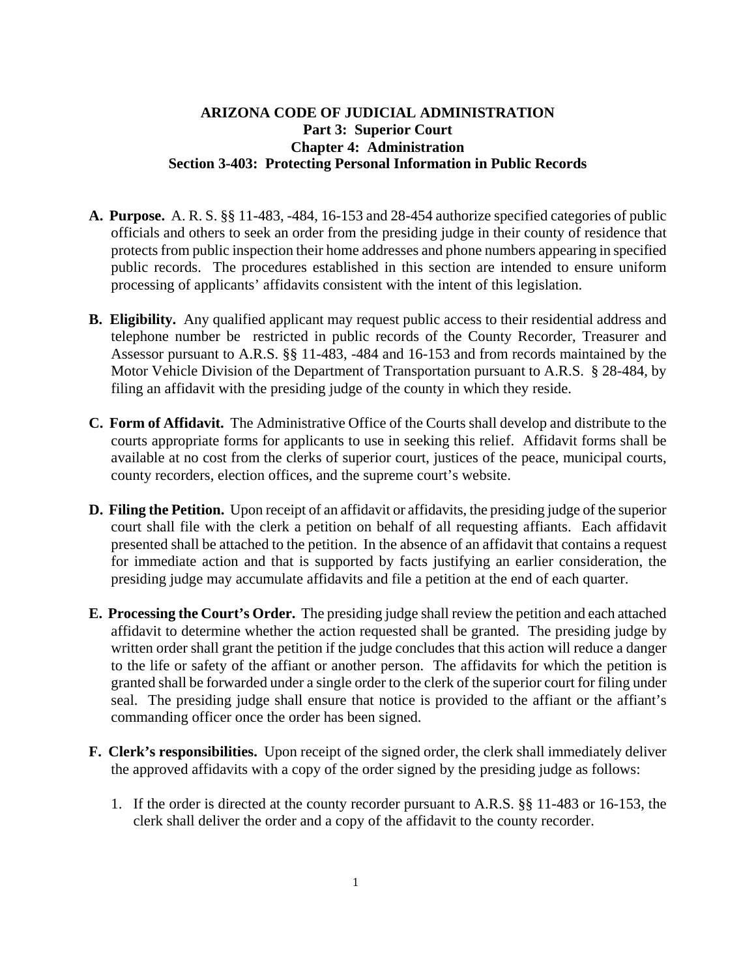## **ARIZONA CODE OF JUDICIAL ADMINISTRATION Part 3: Superior Court Chapter 4: Administration Section 3-403: Protecting Personal Information in Public Records**

- **A. Purpose.** A. R. S. §§ 11-483, -484, 16-153 and 28-454 authorize specified categories of public officials and others to seek an order from the presiding judge in their county of residence that protects from public inspection their home addresses and phone numbers appearing in specified public records. The procedures established in this section are intended to ensure uniform processing of applicants' affidavits consistent with the intent of this legislation.
- **B. Eligibility.** Any qualified applicant may request public access to their residential address and telephone number be restricted in public records of the County Recorder, Treasurer and Assessor pursuant to A.R.S. §§ 11-483, -484 and 16-153 and from records maintained by the Motor Vehicle Division of the Department of Transportation pursuant to A.R.S. § 28-484, by filing an affidavit with the presiding judge of the county in which they reside.
- **C. Form of Affidavit.** The Administrative Office of the Courts shall develop and distribute to the courts appropriate forms for applicants to use in seeking this relief. Affidavit forms shall be available at no cost from the clerks of superior court, justices of the peace, municipal courts, county recorders, election offices, and the supreme court's website.
- **D. Filing the Petition.** Upon receipt of an affidavit or affidavits, the presiding judge of the superior court shall file with the clerk a petition on behalf of all requesting affiants. Each affidavit presented shall be attached to the petition. In the absence of an affidavit that contains a request for immediate action and that is supported by facts justifying an earlier consideration, the presiding judge may accumulate affidavits and file a petition at the end of each quarter.
- **E. Processing the Court's Order.** The presiding judge shall review the petition and each attached affidavit to determine whether the action requested shall be granted. The presiding judge by written order shall grant the petition if the judge concludes that this action will reduce a danger to the life or safety of the affiant or another person. The affidavits for which the petition is granted shall be forwarded under a single order to the clerk of the superior court for filing under seal. The presiding judge shall ensure that notice is provided to the affiant or the affiant's commanding officer once the order has been signed.
- **F. Clerk's responsibilities.** Upon receipt of the signed order, the clerk shall immediately deliver the approved affidavits with a copy of the order signed by the presiding judge as follows:
	- 1. If the order is directed at the county recorder pursuant to A.R.S. §§ 11-483 or 16-153, the clerk shall deliver the order and a copy of the affidavit to the county recorder.